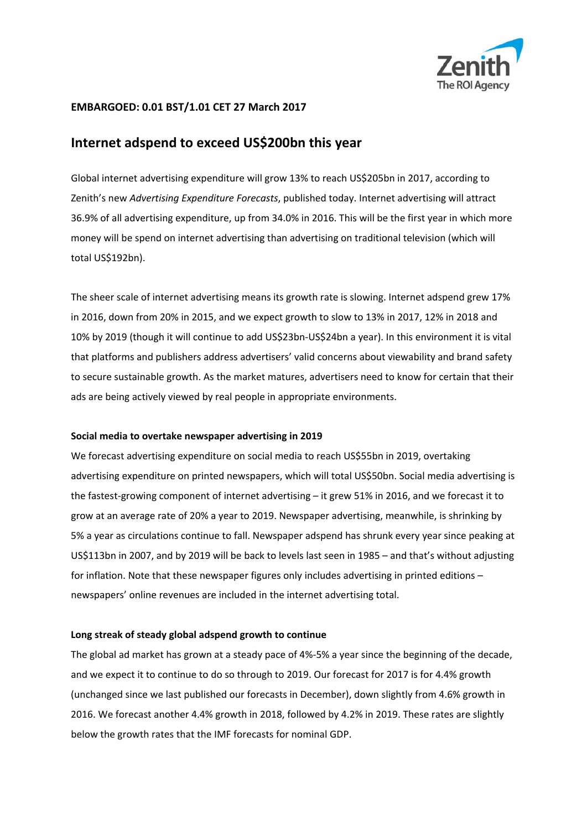

## **EMBARGOED: 0.01 BST/1.01 CET 27 March 2017**

# **Internet adspend to exceed US\$200bn this year**

Global internet advertising expenditure will grow 13% to reach US\$205bn in 2017, according to Zenith's new *Advertising Expenditure Forecasts*, published today. Internet advertising will attract 36.9% of all advertising expenditure, up from 34.0% in 2016. This will be the first year in which more money will be spend on internet advertising than advertising on traditional television (which will total US\$192bn).

The sheer scale of internet advertising means its growth rate is slowing. Internet adspend grew 17% in 2016, down from 20% in 2015, and we expect growth to slow to 13% in 2017, 12% in 2018 and 10% by 2019 (though it will continue to add US\$23bn‐US\$24bn a year). In this environment it is vital that platforms and publishers address advertisers' valid concerns about viewability and brand safety to secure sustainable growth. As the market matures, advertisers need to know for certain that their ads are being actively viewed by real people in appropriate environments.

#### **Social media to overtake newspaper advertising in 2019**

We forecast advertising expenditure on social media to reach US\$55bn in 2019, overtaking advertising expenditure on printed newspapers, which will total US\$50bn. Social media advertising is the fastest-growing component of internet advertising – it grew 51% in 2016, and we forecast it to grow at an average rate of 20% a year to 2019. Newspaper advertising, meanwhile, is shrinking by 5% a year as circulations continue to fall. Newspaper adspend has shrunk every year since peaking at US\$113bn in 2007, and by 2019 will be back to levels last seen in 1985 – and that's without adjusting for inflation. Note that these newspaper figures only includes advertising in printed editions – newspapers' online revenues are included in the internet advertising total.

#### **Long streak of steady global adspend growth to continue**

The global ad market has grown at a steady pace of 4%‐5% a year since the beginning of the decade, and we expect it to continue to do so through to 2019. Our forecast for 2017 is for 4.4% growth (unchanged since we last published our forecasts in December), down slightly from 4.6% growth in 2016. We forecast another 4.4% growth in 2018, followed by 4.2% in 2019. These rates are slightly below the growth rates that the IMF forecasts for nominal GDP.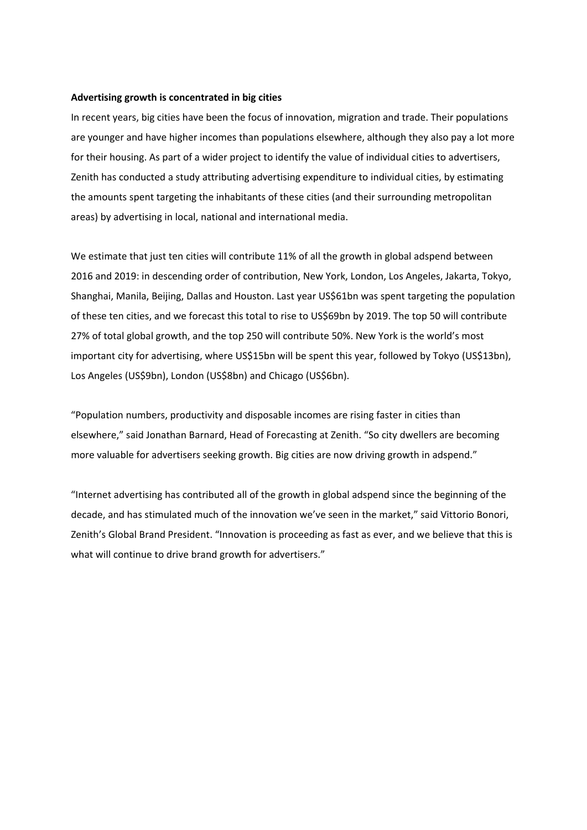#### **Advertising growth is concentrated in big cities**

In recent years, big cities have been the focus of innovation, migration and trade. Their populations are younger and have higher incomes than populations elsewhere, although they also pay a lot more for their housing. As part of a wider project to identify the value of individual cities to advertisers, Zenith has conducted a study attributing advertising expenditure to individual cities, by estimating the amounts spent targeting the inhabitants of these cities (and their surrounding metropolitan areas) by advertising in local, national and international media.

We estimate that just ten cities will contribute 11% of all the growth in global adspend between 2016 and 2019: in descending order of contribution, New York, London, Los Angeles, Jakarta, Tokyo, Shanghai, Manila, Beijing, Dallas and Houston. Last year US\$61bn was spent targeting the population of these ten cities, and we forecast this total to rise to US\$69bn by 2019. The top 50 will contribute 27% of total global growth, and the top 250 will contribute 50%. New York is the world's most important city for advertising, where US\$15bn will be spent this year, followed by Tokyo (US\$13bn), Los Angeles (US\$9bn), London (US\$8bn) and Chicago (US\$6bn).

"Population numbers, productivity and disposable incomes are rising faster in cities than elsewhere," said Jonathan Barnard, Head of Forecasting at Zenith. "So city dwellers are becoming more valuable for advertisers seeking growth. Big cities are now driving growth in adspend."

"Internet advertising has contributed all of the growth in global adspend since the beginning of the decade, and has stimulated much of the innovation we've seen in the market," said Vittorio Bonori, Zenith's Global Brand President. "Innovation is proceeding as fast as ever, and we believe that this is what will continue to drive brand growth for advertisers."